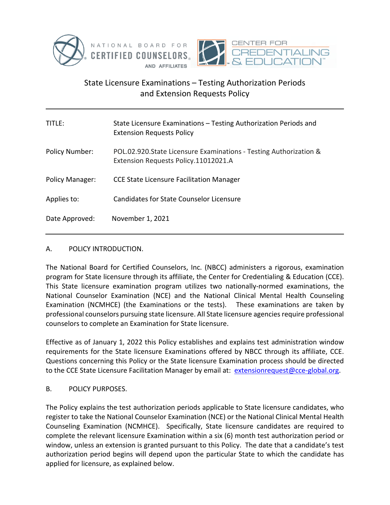



## State Licensure Examinations – Testing Authorization Periods and Extension Requests Policy

| TITLE:                 | State Licensure Examinations – Testing Authorization Periods and<br><b>Extension Requests Policy</b>       |
|------------------------|------------------------------------------------------------------------------------------------------------|
| <b>Policy Number:</b>  | POL.02.920. State Licensure Examinations - Testing Authorization &<br>Extension Requests Policy.11012021.A |
| <b>Policy Manager:</b> | <b>CCE State Licensure Facilitation Manager</b>                                                            |
| Applies to:            | Candidates for State Counselor Licensure                                                                   |
| Date Approved:         | November 1, 2021                                                                                           |

## A. POLICY INTRODUCTION.

The National Board for Certified Counselors, Inc. (NBCC) administers a rigorous, examination program for State licensure through its affiliate, the Center for Credentialing & Education (CCE). This State licensure examination program utilizes two nationally-normed examinations, the National Counselor Examination (NCE) and the National Clinical Mental Health Counseling Examination (NCMHCE) (the Examinations or the tests). These examinations are taken by professional counselors pursuing state licensure. All State licensure agencies require professional counselors to complete an Examination for State licensure.

Effective as of January 1, 2022 this Policy establishes and explains test administration window requirements for the State licensure Examinations offered by NBCC through its affiliate, CCE. Questions concerning this Policy or the State licensure Examination process should be directed to the CCE State Licensure Facilitation Manager by email at: [extensionrequest@cce-global.org.](mailto:extensionrequest@cce-global.org)

B. POLICY PURPOSES.

The Policy explains the test authorization periods applicable to State licensure candidates, who register to take the National Counselor Examination (NCE) or the National Clinical Mental Health Counseling Examination (NCMHCE). Specifically, State licensure candidates are required to complete the relevant licensure Examination within a six (6) month test authorization period or window, unless an extension is granted pursuant to this Policy. The date that a candidate's test authorization period begins will depend upon the particular State to which the candidate has applied for licensure, as explained below.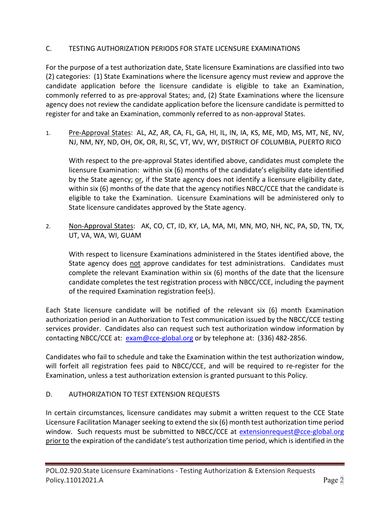## C. TESTING AUTHORIZATION PERIODS FOR STATE LICENSURE EXAMINATIONS

For the purpose of a test authorization date, State licensure Examinations are classified into two (2) categories: (1) State Examinations where the licensure agency must review and approve the candidate application before the licensure candidate is eligible to take an Examination, commonly referred to as pre-approval States; and, (2) State Examinations where the licensure agency does not review the candidate application before the licensure candidate is permitted to register for and take an Examination, commonly referred to as non-approval States.

1. Pre-Approval States: AL, AZ, AR, CA, FL, GA, HI, IL, IN, IA, KS, ME, MD, MS, MT, NE, NV, NJ, NM, NY, ND, OH, OK, OR, RI, SC, VT, WV, WY, DISTRICT OF COLUMBIA, PUERTO RICO

With respect to the pre-approval States identified above, candidates must complete the licensure Examination: within six (6) months of the candidate's eligibility date identified by the State agency; or, if the State agency does not identify a licensure eligibility date, within six (6) months of the date that the agency notifies NBCC/CCE that the candidate is eligible to take the Examination. Licensure Examinations will be administered only to State licensure candidates approved by the State agency.

2. Non-Approval States: AK, CO, CT, ID, KY, LA, MA, MI, MN, MO, NH, NC, PA, SD, TN, TX, UT, VA, WA, WI, GUAM

With respect to licensure Examinations administered in the States identified above, the State agency does not approve candidates for test administrations. Candidates must complete the relevant Examination within six (6) months of the date that the licensure candidate completes the test registration process with NBCC/CCE, including the payment of the required Examination registration fee(s).

Each State licensure candidate will be notified of the relevant six (6) month Examination authorization period in an Authorization to Test communication issued by the NBCC/CCE testing services provider. Candidates also can request such test authorization window information by contacting NBCC/CCE at: [exam@cce-global.org](mailto:exam@cce-global.org) or by telephone at: (336) 482-2856.

Candidates who fail to schedule and take the Examination within the test authorization window, will forfeit all registration fees paid to NBCC/CCE, and will be required to re-register for the Examination, unless a test authorization extension is granted pursuant to this Policy.

## D. AUTHORIZATION TO TEST EXTENSION REQUESTS

In certain circumstances, licensure candidates may submit a written request to the CCE State Licensure Facilitation Manager seeking to extend the six (6) month test authorization time period window. Such requests must be submitted to NBCC/CCE at [extensionrequest@cce-global.org](mailto:extensionrequest@cce-global.org) prior to the expiration of the candidate's test authorization time period, which is identified in the